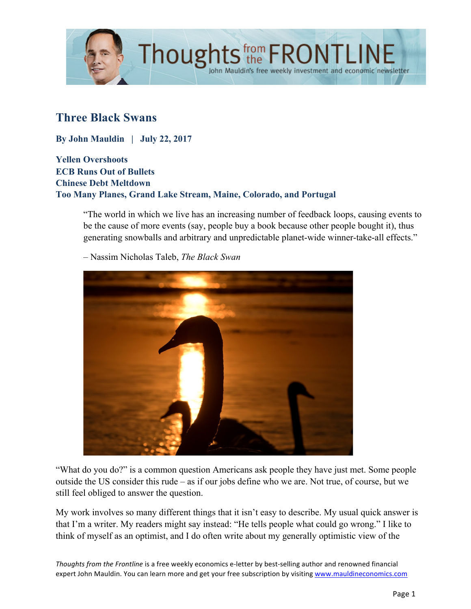

# **Three Black Swans**

**By John Mauldin | July 22, 2017**

**Yellen Overshoots ECB Runs Out of Bullets Chinese Debt Meltdown Too Many Planes, Grand Lake Stream, Maine, Colorado, and Portugal**

"The world in which we live has an increasing number of feedback loops, causing events to be the cause of more events (say, people buy a book because other people bought it), thus generating snowballs and arbitrary and unpredictable planet-wide winner-take-all effects."

– Nassim Nicholas Taleb, *The Black Swan*



"What do you do?" is a common question Americans ask people they have just met. Some people outside the US consider this rude – as if our jobs define who we are. Not true, of course, but we still feel obliged to answer the question.

My work involves so many different things that it isn't easy to describe. My usual quick answer is that I'm a writer. My readers might say instead: "He tells people what could go wrong." I like to think of myself as an optimist, and I do often write about my generally optimistic view of the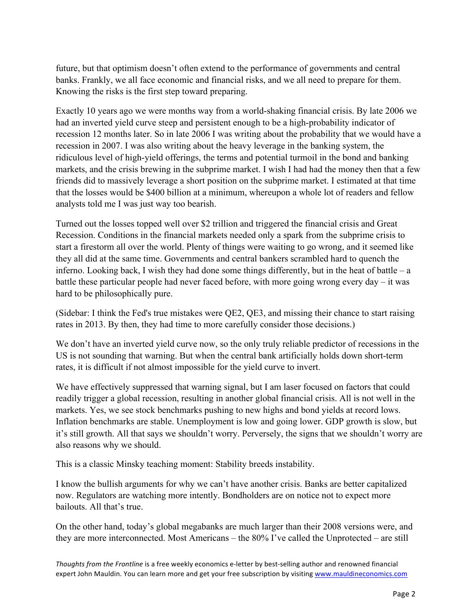future, but that optimism doesn't often extend to the performance of governments and central banks. Frankly, we all face economic and financial risks, and we all need to prepare for them. Knowing the risks is the first step toward preparing.

Exactly 10 years ago we were months way from a world-shaking financial crisis. By late 2006 we had an inverted yield curve steep and persistent enough to be a high-probability indicator of recession 12 months later. So in late 2006 I was writing about the probability that we would have a recession in 2007. I was also writing about the heavy leverage in the banking system, the ridiculous level of high-yield offerings, the terms and potential turmoil in the bond and banking markets, and the crisis brewing in the subprime market. I wish I had had the money then that a few friends did to massively leverage a short position on the subprime market. I estimated at that time that the losses would be \$400 billion at a minimum, whereupon a whole lot of readers and fellow analysts told me I was just way too bearish.

Turned out the losses topped well over \$2 trillion and triggered the financial crisis and Great Recession. Conditions in the financial markets needed only a spark from the subprime crisis to start a firestorm all over the world. Plenty of things were waiting to go wrong, and it seemed like they all did at the same time. Governments and central bankers scrambled hard to quench the inferno. Looking back, I wish they had done some things differently, but in the heat of battle – a battle these particular people had never faced before, with more going wrong every day – it was hard to be philosophically pure.

(Sidebar: I think the Fed's true mistakes were QE2, QE3, and missing their chance to start raising rates in 2013. By then, they had time to more carefully consider those decisions.)

We don't have an inverted yield curve now, so the only truly reliable predictor of recessions in the US is not sounding that warning. But when the central bank artificially holds down short-term rates, it is difficult if not almost impossible for the yield curve to invert.

We have effectively suppressed that warning signal, but I am laser focused on factors that could readily trigger a global recession, resulting in another global financial crisis. All is not well in the markets. Yes, we see stock benchmarks pushing to new highs and bond yields at record lows. Inflation benchmarks are stable. Unemployment is low and going lower. GDP growth is slow, but it's still growth. All that says we shouldn't worry. Perversely, the signs that we shouldn't worry are also reasons why we should.

This is a classic Minsky teaching moment: Stability breeds instability.

I know the bullish arguments for why we can't have another crisis. Banks are better capitalized now. Regulators are watching more intently. Bondholders are on notice not to expect more bailouts. All that's true.

On the other hand, today's global megabanks are much larger than their 2008 versions were, and they are more interconnected. Most Americans – the 80% I've called the Unprotected – are still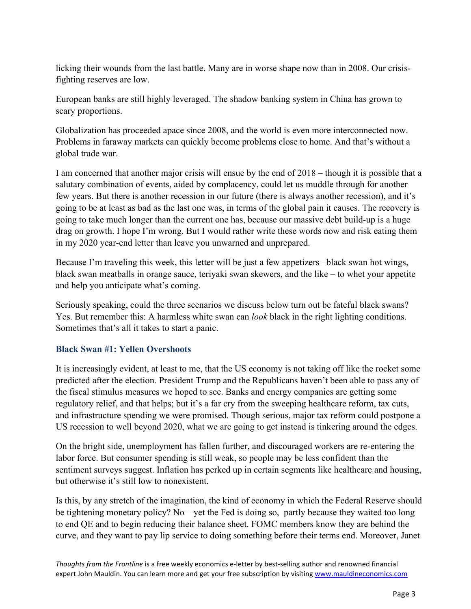licking their wounds from the last battle. Many are in worse shape now than in 2008. Our crisisfighting reserves are low.

European banks are still highly leveraged. The shadow banking system in China has grown to scary proportions.

Globalization has proceeded apace since 2008, and the world is even more interconnected now. Problems in faraway markets can quickly become problems close to home. And that's without a global trade war.

I am concerned that another major crisis will ensue by the end of 2018 – though it is possible that a salutary combination of events, aided by complacency, could let us muddle through for another few years. But there is another recession in our future (there is always another recession), and it's going to be at least as bad as the last one was, in terms of the global pain it causes. The recovery is going to take much longer than the current one has, because our massive debt build-up is a huge drag on growth. I hope I'm wrong. But I would rather write these words now and risk eating them in my 2020 year-end letter than leave you unwarned and unprepared.

Because I'm traveling this week, this letter will be just a few appetizers –black swan hot wings, black swan meatballs in orange sauce, teriyaki swan skewers, and the like – to whet your appetite and help you anticipate what's coming.

Seriously speaking, could the three scenarios we discuss below turn out be fateful black swans? Yes. But remember this: A harmless white swan can *look* black in the right lighting conditions. Sometimes that's all it takes to start a panic.

## **Black Swan #1: Yellen Overshoots**

It is increasingly evident, at least to me, that the US economy is not taking off like the rocket some predicted after the election. President Trump and the Republicans haven't been able to pass any of the fiscal stimulus measures we hoped to see. Banks and energy companies are getting some regulatory relief, and that helps; but it's a far cry from the sweeping healthcare reform, tax cuts, and infrastructure spending we were promised. Though serious, major tax reform could postpone a US recession to well beyond 2020, what we are going to get instead is tinkering around the edges.

On the bright side, unemployment has fallen further, and discouraged workers are re-entering the labor force. But consumer spending is still weak, so people may be less confident than the sentiment surveys suggest. Inflation has perked up in certain segments like healthcare and housing, but otherwise it's still low to nonexistent.

Is this, by any stretch of the imagination, the kind of economy in which the Federal Reserve should be tightening monetary policy? No – yet the Fed is doing so, partly because they waited too long to end QE and to begin reducing their balance sheet. FOMC members know they are behind the curve, and they want to pay lip service to doing something before their terms end. Moreover, Janet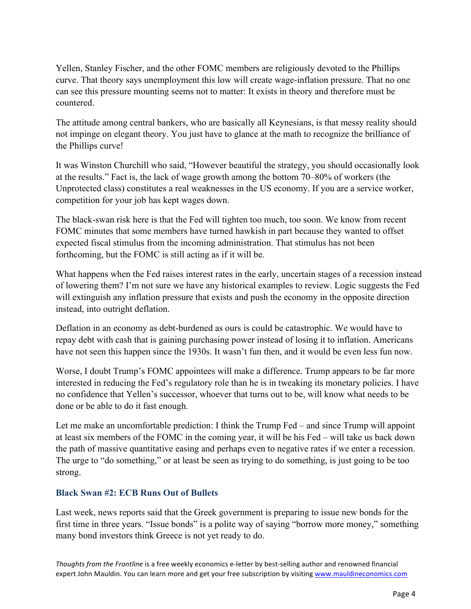Yellen, Stanley Fischer, and the other FOMC members are religiously devoted to the Phillips curve. That theory says unemployment this low will create wage-inflation pressure. That no one can see this pressure mounting seems not to matter: It exists in theory and therefore must be countered.

The attitude among central bankers, who are basically all Keynesians, is that messy reality should not impinge on elegant theory. You just have to glance at the math to recognize the brilliance of the Phillips curve!

It was Winston Churchill who said, "However beautiful the strategy, you should occasionally look at the results." Fact is, the lack of wage growth among the bottom 70–80% of workers (the Unprotected class) constitutes a real weaknesses in the US economy. If you are a service worker, competition for your job has kept wages down.

The black-swan risk here is that the Fed will tighten too much, too soon. We know from recent FOMC minutes that some members have turned hawkish in part because they wanted to offset expected fiscal stimulus from the incoming administration. That stimulus has not been forthcoming, but the FOMC is still acting as if it will be.

What happens when the Fed raises interest rates in the early, uncertain stages of a recession instead of lowering them? I'm not sure we have any historical examples to review. Logic suggests the Fed will extinguish any inflation pressure that exists and push the economy in the opposite direction instead, into outright deflation.

Deflation in an economy as debt-burdened as ours is could be catastrophic. We would have to repay debt with cash that is gaining purchasing power instead of losing it to inflation. Americans have not seen this happen since the 1930s. It wasn't fun then, and it would be even less fun now.

Worse, I doubt Trump's FOMC appointees will make a difference. Trump appears to be far more interested in reducing the Fed's regulatory role than he is in tweaking its monetary policies. I have no confidence that Yellen's successor, whoever that turns out to be, will know what needs to be done or be able to do it fast enough.

Let me make an uncomfortable prediction: I think the Trump Fed – and since Trump will appoint at least six members of the FOMC in the coming year, it will be his Fed – will take us back down the path of massive quantitative easing and perhaps even to negative rates if we enter a recession. The urge to "do something," or at least be seen as trying to do something, is just going to be too strong.

### **Black Swan #2: ECB Runs Out of Bullets**

Last week, news reports said that the Greek government is preparing to issue new bonds for the first time in three years. "Issue bonds" is a polite way of saying "borrow more money," something many bond investors think Greece is not yet ready to do.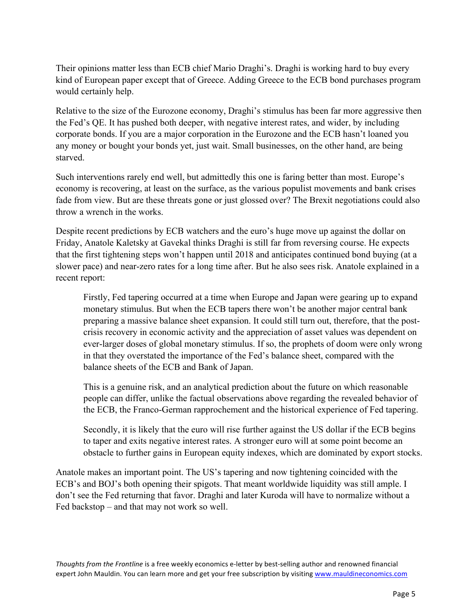Their opinions matter less than ECB chief Mario Draghi's. Draghi is working hard to buy every kind of European paper except that of Greece. Adding Greece to the ECB bond purchases program would certainly help.

Relative to the size of the Eurozone economy, Draghi's stimulus has been far more aggressive then the Fed's QE. It has pushed both deeper, with negative interest rates, and wider, by including corporate bonds. If you are a major corporation in the Eurozone and the ECB hasn't loaned you any money or bought your bonds yet, just wait. Small businesses, on the other hand, are being starved.

Such interventions rarely end well, but admittedly this one is faring better than most. Europe's economy is recovering, at least on the surface, as the various populist movements and bank crises fade from view. But are these threats gone or just glossed over? The Brexit negotiations could also throw a wrench in the works.

Despite recent predictions by ECB watchers and the euro's huge move up against the dollar on Friday, Anatole Kaletsky at Gavekal thinks Draghi is still far from reversing course. He expects that the first tightening steps won't happen until 2018 and anticipates continued bond buying (at a slower pace) and near-zero rates for a long time after. But he also sees risk. Anatole explained in a recent report:

Firstly, Fed tapering occurred at a time when Europe and Japan were gearing up to expand monetary stimulus. But when the ECB tapers there won't be another major central bank preparing a massive balance sheet expansion. It could still turn out, therefore, that the postcrisis recovery in economic activity and the appreciation of asset values was dependent on ever-larger doses of global monetary stimulus. If so, the prophets of doom were only wrong in that they overstated the importance of the Fed's balance sheet, compared with the balance sheets of the ECB and Bank of Japan.

This is a genuine risk, and an analytical prediction about the future on which reasonable people can differ, unlike the factual observations above regarding the revealed behavior of the ECB, the Franco-German rapprochement and the historical experience of Fed tapering.

Secondly, it is likely that the euro will rise further against the US dollar if the ECB begins to taper and exits negative interest rates. A stronger euro will at some point become an obstacle to further gains in European equity indexes, which are dominated by export stocks.

Anatole makes an important point. The US's tapering and now tightening coincided with the ECB's and BOJ's both opening their spigots. That meant worldwide liquidity was still ample. I don't see the Fed returning that favor. Draghi and later Kuroda will have to normalize without a Fed backstop – and that may not work so well.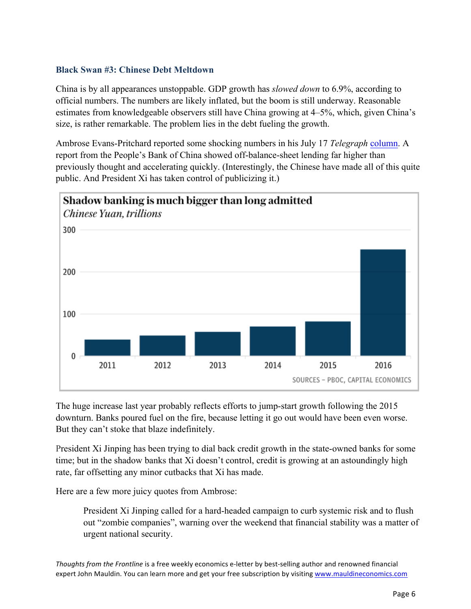#### **Black Swan #3: Chinese Debt Meltdown**

China is by all appearances unstoppable. GDP growth has *slowed down* to 6.9%, according to official numbers. The numbers are likely inflated, but the boom is still underway. Reasonable estimates from knowledgeable observers still have China growing at 4–5%, which, given China's size, is rather remarkable. The problem lies in the debt fueling the growth.

Ambrose Evans-Pritchard reported some shocking numbers in his July 17 *Telegraph* [column.](http://www.telegraph.co.uk/business/2017/07/17/shock-rise-chinas-shadow-banking-enrages-xi-jinping/) A report from the People's Bank of China showed off-balance-sheet lending far higher than previously thought and accelerating quickly. (Interestingly, the Chinese have made all of this quite public. And President Xi has taken control of publicizing it.)



The huge increase last year probably reflects efforts to jump-start growth following the 2015 downturn. Banks poured fuel on the fire, because letting it go out would have been even worse. But they can't stoke that blaze indefinitely.

President Xi Jinping has been trying to dial back credit growth in the state-owned banks for some time; but in the shadow banks that Xi doesn't control, credit is growing at an astoundingly high rate, far offsetting any minor cutbacks that Xi has made.

Here are a few more juicy quotes from Ambrose:

President Xi Jinping called for a hard-headed campaign to curb systemic risk and to flush out "zombie companies", warning over the weekend that financial stability was a matter of urgent national security.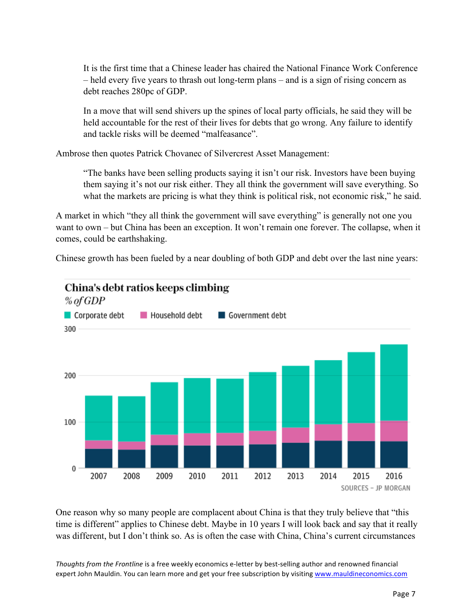It is the first time that a Chinese leader has chaired the National Finance Work Conference – held every five years to thrash out long-term plans – and is a sign of rising concern as debt reaches 280pc of GDP.

In a move that will send shivers up the spines of local party officials, he said they will be held accountable for the rest of their lives for debts that go wrong. Any failure to identify and tackle risks will be deemed "malfeasance".

Ambrose then quotes Patrick Chovanec of Silvercrest Asset Management:

"The banks have been selling products saying it isn't our risk. Investors have been buying them saying it's not our risk either. They all think the government will save everything. So what the markets are pricing is what they think is political risk, not economic risk," he said.

A market in which "they all think the government will save everything" is generally not one you want to own – but China has been an exception. It won't remain one forever. The collapse, when it comes, could be earthshaking.

Chinese growth has been fueled by a near doubling of both GDP and debt over the last nine years:



One reason why so many people are complacent about China is that they truly believe that "this time is different" applies to Chinese debt. Maybe in 10 years I will look back and say that it really was different, but I don't think so. As is often the case with China, China's current circumstances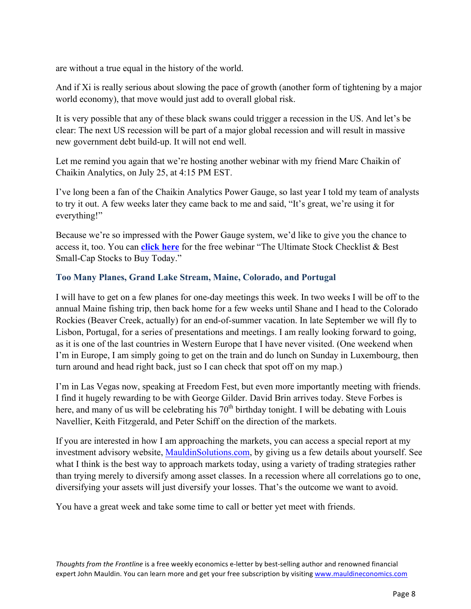are without a true equal in the history of the world.

And if Xi is really serious about slowing the pace of growth (another form of tightening by a major world economy), that move would just add to overall global risk.

It is very possible that any of these black swans could trigger a recession in the US. And let's be clear: The next US recession will be part of a major global recession and will result in massive new government debt build-up. It will not end well.

Let me remind you again that we're hosting another webinar with my friend Marc Chaikin of Chaikin Analytics, on July 25, at 4:15 PM EST.

I've long been a fan of the Chaikin Analytics Power Gauge, so last year I told my team of analysts to try it out. A few weeks later they came back to me and said, "It's great, we're using it for everything!"

Because we're so impressed with the Power Gauge system, we'd like to give you the chance to access it, too. You can **[click here](http://get.chaikinanalytics.com/072517-checklist/?utm_source=mauldin&utm_medium=emailfrontline2&utm_campaign=2017-0725jk)** for the free webinar "The Ultimate Stock Checklist & Best Small-Cap Stocks to Buy Today."

## **Too Many Planes, Grand Lake Stream, Maine, Colorado, and Portugal**

I will have to get on a few planes for one-day meetings this week. In two weeks I will be off to the annual Maine fishing trip, then back home for a few weeks until Shane and I head to the Colorado Rockies (Beaver Creek, actually) for an end-of-summer vacation. In late September we will fly to Lisbon, Portugal, for a series of presentations and meetings. I am really looking forward to going, as it is one of the last countries in Western Europe that I have never visited. (One weekend when I'm in Europe, I am simply going to get on the train and do lunch on Sunday in Luxembourg, then turn around and head right back, just so I can check that spot off on my map.)

I'm in Las Vegas now, speaking at Freedom Fest, but even more importantly meeting with friends. I find it hugely rewarding to be with George Gilder. David Brin arrives today. Steve Forbes is here, and many of us will be celebrating his  $70<sup>th</sup>$  birthday tonight. I will be debating with Louis Navellier, Keith Fitzgerald, and Peter Schiff on the direction of the markets.

If you are interested in how I am approaching the markets, you can access a special report at my investment advisory website, [MauldinSolutions.com, b](http://www.mauldinsolutions.com)y giving us a few details about yourself. See what I think is the best way to approach markets today, using a variety of trading strategies rather than trying merely to diversify among asset classes. In a recession where all correlations go to one, diversifying your assets will just diversify your losses. That's the outcome we want to avoid.

You have a great week and take some time to call or better yet meet with friends.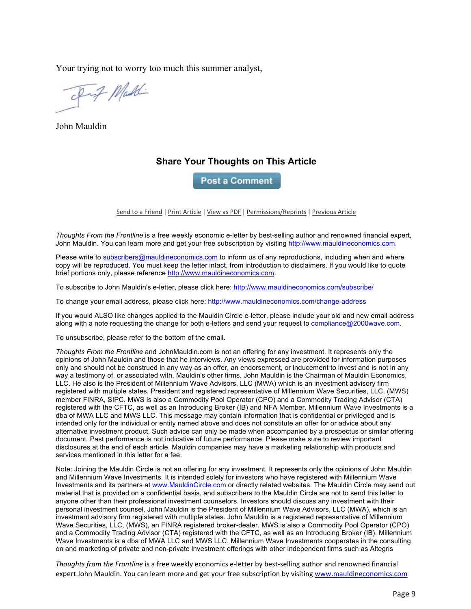Your trying not to worry too much this summer analyst,

Fif Maddi

John Mauldin

## **Share Your Thoughts on This Article**

**Post a Comment** 

Send to a Friend | Print Article | View as PDF | Permissions/Reprints | Previous Article

*Thoughts From the Frontline* is a free weekly economic e-letter by best-selling author and renowned financial expert, John Mauldin. You can learn more and get your free subscription by visiting http://www.mauldineconomics.com.

Please write to subscribers@mauldineconomics.com to inform us of any reproductions, including when and where copy will be reproduced. You must keep the letter intact, from introduction to disclaimers. If you would like to quote brief portions only, please reference http://www.mauldineconomics.com.

To subscribe to John Mauldin's e-letter, please click here: http://www.mauldineconomics.com/subscribe/

To change your email address, please click here: http://www.mauldineconomics.com/change-address

If you would ALSO like changes applied to the Mauldin Circle e-letter, please include your old and new email address along with a note requesting the change for both e-letters and send your request to compliance@2000wave.com.

To unsubscribe, please refer to the bottom of the email.

*Thoughts From the Frontline* and JohnMauldin.com is not an offering for any investment. It represents only the opinions of John Mauldin and those that he interviews. Any views expressed are provided for information purposes only and should not be construed in any way as an offer, an endorsement, or inducement to invest and is not in any way a testimony of, or associated with, Mauldin's other firms. John Mauldin is the Chairman of Mauldin Economics, LLC. He also is the President of Millennium Wave Advisors, LLC (MWA) which is an investment advisory firm registered with multiple states, President and registered representative of Millennium Wave Securities, LLC, (MWS) member FINRA, SIPC. MWS is also a Commodity Pool Operator (CPO) and a Commodity Trading Advisor (CTA) registered with the CFTC, as well as an Introducing Broker (IB) and NFA Member. Millennium Wave Investments is a dba of MWA LLC and MWS LLC. This message may contain information that is confidential or privileged and is intended only for the individual or entity named above and does not constitute an offer for or advice about any alternative investment product. Such advice can only be made when accompanied by a prospectus or similar offering document. Past performance is not indicative of future performance. Please make sure to review important disclosures at the end of each article. Mauldin companies may have a marketing relationship with products and services mentioned in this letter for a fee.

Note: Joining the Mauldin Circle is not an offering for any investment. It represents only the opinions of John Mauldin and Millennium Wave Investments. It is intended solely for investors who have registered with Millennium Wave Investments and its partners at www.MauldinCircle.com or directly related websites. The Mauldin Circle may send out material that is provided on a confidential basis, and subscribers to the Mauldin Circle are not to send this letter to anyone other than their professional investment counselors. Investors should discuss any investment with their personal investment counsel. John Mauldin is the President of Millennium Wave Advisors, LLC (MWA), which is an investment advisory firm registered with multiple states. John Mauldin is a registered representative of Millennium Wave Securities, LLC, (MWS), an FINRA registered broker-dealer. MWS is also a Commodity Pool Operator (CPO) and a Commodity Trading Advisor (CTA) registered with the CFTC, as well as an Introducing Broker (IB). Millennium Wave Investments is a dba of MWA LLC and MWS LLC. Millennium Wave Investments cooperates in the consulting on and marketing of private and non-private investment offerings with other independent firms such as Altegris